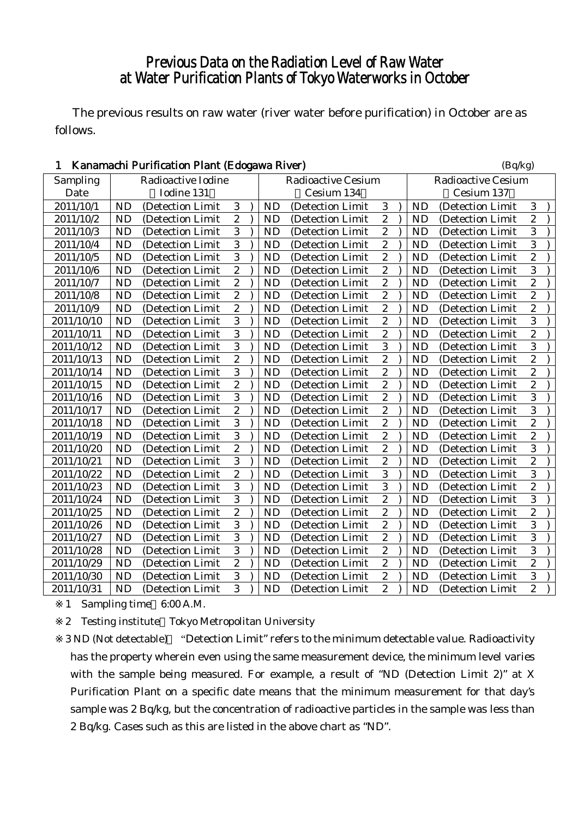# Previous Data on the Radiation Level of Raw Water at Water Purification Plants of Tokyo Waterworks in October

The previous results on raw water (river water before purification) in October are as follows.

| $\mathbf{1}$ |           | Kanamachi Purification Plant (Edogawa River) |                  |           |                           |                           |  |           | (Bq/kg)           |                  |  |  |  |
|--------------|-----------|----------------------------------------------|------------------|-----------|---------------------------|---------------------------|--|-----------|-------------------|------------------|--|--|--|
| Sampling     |           | Radioactive Iodine                           |                  |           | <b>Radioactive Cesium</b> | <b>Radioactive Cesium</b> |  |           |                   |                  |  |  |  |
| Date         |           | Iodine 131                                   |                  |           | Cesium 134                |                           |  |           | Cesium 137        |                  |  |  |  |
| 2011/10/1    | <b>ND</b> | (Detection Limit                             | 3                | <b>ND</b> | (Detection Limit          | 3                         |  | <b>ND</b> | (Detection Limit  | 3                |  |  |  |
| 2011/10/2    | <b>ND</b> | (Detection Limit                             | $\overline{c}$   | <b>ND</b> | (Detection Limit          | $\overline{c}$            |  | <b>ND</b> | (Detection Limit  | $\overline{c}$   |  |  |  |
| 2011/10/3    | <b>ND</b> | (Detection Limit                             | 3                | <b>ND</b> | (Detection Limit          | $\overline{c}$            |  | <b>ND</b> | (Detection Limit  | 3                |  |  |  |
| 2011/10/4    | <b>ND</b> | (Detection Limit                             | 3                | <b>ND</b> | (Detection Limit          | $\boldsymbol{2}$          |  | <b>ND</b> | (Detection Limit  | 3                |  |  |  |
| 2011/10/5    | <b>ND</b> | (Detection Limit                             | 3                | <b>ND</b> | (Detection Limit          | $\overline{c}$            |  | <b>ND</b> | (Detection Limit  | $\overline{c}$   |  |  |  |
| 2011/10/6    | <b>ND</b> | (Detection Limit)                            | $\overline{2}$   | <b>ND</b> | (Detection Limit          | $\overline{c}$            |  | <b>ND</b> | (Detection Limit  | 3                |  |  |  |
| 2011/10/7    | <b>ND</b> | (Detection Limit                             | $\overline{2}$   | <b>ND</b> | (Detection Limit          | $\overline{2}$            |  | <b>ND</b> | (Detection Limit  | $\overline{2}$   |  |  |  |
| 2011/10/8    | <b>ND</b> | (Detection Limit                             | $\mathbf{2}$     | <b>ND</b> | (Detection Limit          | $\mathbf{2}$              |  | <b>ND</b> | (Detection Limit  | $\overline{c}$   |  |  |  |
| 2011/10/9    | <b>ND</b> | (Detection Limit                             | $\boldsymbol{2}$ | <b>ND</b> | (Detection Limit          | $\sqrt{2}$                |  | <b>ND</b> | (Detection Limit  | $\boldsymbol{2}$ |  |  |  |
| 2011/10/10   | <b>ND</b> | (Detection Limit                             | 3                | <b>ND</b> | (Detection Limit          | $\overline{c}$            |  | <b>ND</b> | (Detection Limit  | 3                |  |  |  |
| 2011/10/11   | <b>ND</b> | (Detection Limit                             | $\overline{3}$   | <b>ND</b> | (Detection Limit          | $\overline{c}$            |  | <b>ND</b> | (Detection Limit  | $\overline{c}$   |  |  |  |
| 2011/10/12   | <b>ND</b> | (Detection Limit                             | $\overline{3}$   | <b>ND</b> | (Detection Limit          | 3                         |  | <b>ND</b> | (Detection Limit  | $\overline{3}$   |  |  |  |
| 2011/10/13   | <b>ND</b> | (Detection Limit)                            | $\mathbf{2}$     | <b>ND</b> | (Detection Limit)         | $\overline{c}$            |  | <b>ND</b> | (Detection Limit  | $\overline{c}$   |  |  |  |
| 2011/10/14   | <b>ND</b> | (Detection Limit                             | 3                | <b>ND</b> | (Detection Limit          | $\boldsymbol{2}$          |  | <b>ND</b> | (Detection Limit  | $\boldsymbol{2}$ |  |  |  |
| 2011/10/15   | <b>ND</b> | (Detection Limit                             | $\overline{2}$   | <b>ND</b> | (Detection Limit          | $\overline{c}$            |  | <b>ND</b> | (Detection Limit  | $\overline{c}$   |  |  |  |
| 2011/10/16   | <b>ND</b> | (Detection Limit                             | $\overline{3}$   | <b>ND</b> | (Detection Limit          | $\overline{2}$            |  | <b>ND</b> | (Detection Limit  | 3                |  |  |  |
| 2011/10/17   | <b>ND</b> | (Detection Limit                             | $\overline{2}$   | <b>ND</b> | (Detection Limit          | $\overline{c}$            |  | <b>ND</b> | (Detection Limit  | $\overline{3}$   |  |  |  |
| 2011/10/18   | <b>ND</b> | (Detection Limit                             | $\overline{3}$   | <b>ND</b> | (Detection Limit          | $\boldsymbol{2}$          |  | <b>ND</b> | (Detection Limit  | $\overline{c}$   |  |  |  |
| 2011/10/19   | <b>ND</b> | (Detection Limit                             | 3                | <b>ND</b> | (Detection Limit          | $\sqrt{2}$                |  | <b>ND</b> | (Detection Limit  | $\overline{c}$   |  |  |  |
| 2011/10/20   | <b>ND</b> | (Detection Limit                             | $\overline{c}$   | <b>ND</b> | (Detection Limit          | $\overline{c}$            |  | <b>ND</b> | (Detection Limit  | 3                |  |  |  |
| 2011/10/21   | <b>ND</b> | (Detection Limit)                            | $\overline{3}$   | <b>ND</b> | (Detection Limit)         | $\overline{c}$            |  | <b>ND</b> | (Detection Limit  | $\overline{c}$   |  |  |  |
| 2011/10/22   | <b>ND</b> | (Detection Limit)                            | $\overline{2}$   | <b>ND</b> | (Detection Limit)         | 3                         |  | <b>ND</b> | (Detection Limit  | $\overline{3}$   |  |  |  |
| 2011/10/23   | <b>ND</b> | (Detection Limit)                            | $\overline{3}$   | <b>ND</b> | (Detection Limit          | 3                         |  | <b>ND</b> | (Detection Limit) | $\overline{c}$   |  |  |  |
| 2011/10/24   | <b>ND</b> | (Detection Limit                             | 3                | <b>ND</b> | (Detection Limit          | $\sqrt{2}$                |  | <b>ND</b> | (Detection Limit  | 3                |  |  |  |
| 2011/10/25   | <b>ND</b> | (Detection Limit                             | $\overline{c}$   | <b>ND</b> | (Detection Limit          | $\overline{c}$            |  | <b>ND</b> | (Detection Limit  | $\overline{c}$   |  |  |  |
| 2011/10/26   | <b>ND</b> | (Detection Limit)                            | $\overline{3}$   | <b>ND</b> | (Detection Limit          | $\overline{2}$            |  | <b>ND</b> | (Detection Limit  | 3                |  |  |  |
| 2011/10/27   | <b>ND</b> | (Detection Limit)                            | $\overline{3}$   | <b>ND</b> | (Detection Limit          | $\overline{c}$            |  | <b>ND</b> | (Detection Limit  | $\overline{3}$   |  |  |  |
| 2011/10/28   | <b>ND</b> | (Detection Limit                             | $\overline{3}$   | <b>ND</b> | (Detection Limit          | $\overline{c}$            |  | <b>ND</b> | (Detection Limit  | 3                |  |  |  |
| 2011/10/29   | <b>ND</b> | (Detection Limit                             | $\overline{c}$   | <b>ND</b> | (Detection Limit          | $\sqrt{2}$                |  | <b>ND</b> | (Detection Limit  | $\overline{c}$   |  |  |  |
| 2011/10/30   | <b>ND</b> | (Detection Limit                             | $\overline{3}$   | <b>ND</b> | (Detection Limit          | $\sqrt{2}$                |  | <b>ND</b> | (Detection Limit  | 3                |  |  |  |
| 2011/10/31   | <b>ND</b> | (Detection Limit)                            | $\overline{3}$   | <b>ND</b> | (Detection Limit          | $\overline{c}$            |  | <b>ND</b> | (Detection Limit) | $\overline{c}$   |  |  |  |

1 Sampling time 6:00 A.M.

2 Testing institute Tokyo Metropolitan University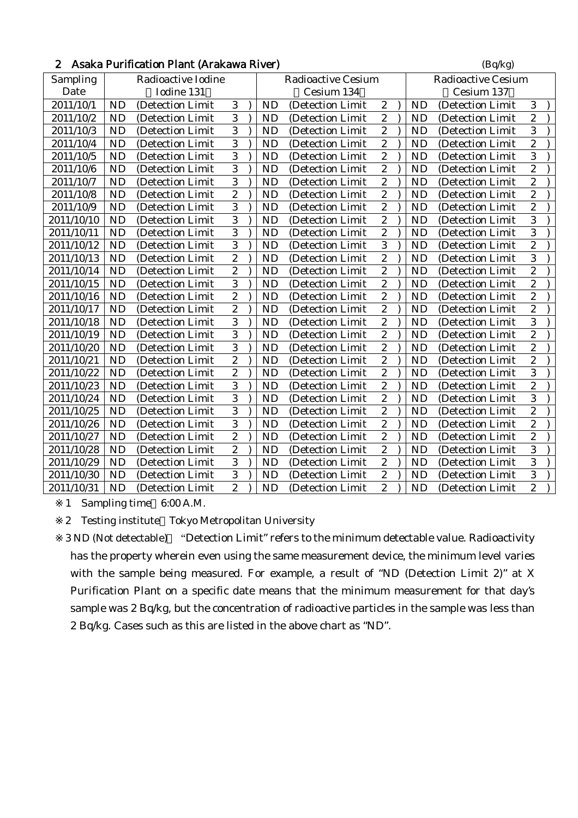|  | 2 Asaka Purification Plant (Arakawa River) | (Bq/kg) |
|--|--------------------------------------------|---------|
|--|--------------------------------------------|---------|

| Sampling   |           | Radioactive Iodine |                  |           | <b>Radioactive Cesium</b> |                  |           | <b>Radioactive Cesium</b> |                         |  |
|------------|-----------|--------------------|------------------|-----------|---------------------------|------------------|-----------|---------------------------|-------------------------|--|
| Date       |           | Iodine 131         |                  |           | Cesium 134                |                  |           | Cesium 137                |                         |  |
| 2011/10/1  | <b>ND</b> | (Detection Limit   | 3                | <b>ND</b> | (Detection Limit          | $\boldsymbol{2}$ | <b>ND</b> | (Detection Limit)         | 3                       |  |
| 2011/10/2  | <b>ND</b> | (Detection Limit   | 3                | <b>ND</b> | (Detection Limit          | $\boldsymbol{2}$ | <b>ND</b> | (Detection Limit          | $\overline{\mathbf{c}}$ |  |
| 2011/10/3  | <b>ND</b> | (Detection Limit   | $\overline{3}$   | <b>ND</b> | (Detection Limit          | $\boldsymbol{2}$ | <b>ND</b> | (Detection Limit          | 3                       |  |
| 2011/10/4  | <b>ND</b> | (Detection Limit   | 3                | <b>ND</b> | (Detection Limit          | $\overline{2}$   | <b>ND</b> | (Detection Limit          | $\overline{c}$          |  |
| 2011/10/5  | <b>ND</b> | (Detection Limit   | $\overline{3}$   | <b>ND</b> | (Detection Limit          | $\boldsymbol{2}$ | <b>ND</b> | (Detection Limit          | 3                       |  |
| 2011/10/6  | <b>ND</b> | (Detection Limit   | $\overline{3}$   | <b>ND</b> | (Detection Limit          | $\overline{2}$   | <b>ND</b> | (Detection Limit          | $\overline{c}$          |  |
| 2011/10/7  | <b>ND</b> | (Detection Limit   | 3                | <b>ND</b> | (Detection Limit          | $\boldsymbol{2}$ | <b>ND</b> | (Detection Limit          | $\overline{c}$          |  |
| 2011/10/8  | <b>ND</b> | (Detection Limit   | $\overline{c}$   | <b>ND</b> | (Detection Limit          | $\boldsymbol{2}$ | <b>ND</b> | (Detection Limit          | $\overline{c}$          |  |
| 2011/10/9  | <b>ND</b> | (Detection Limit   | 3                | <b>ND</b> | (Detection Limit          | $\boldsymbol{2}$ | <b>ND</b> | (Detection Limit          | $\overline{c}$          |  |
| 2011/10/10 | <b>ND</b> | (Detection Limit)  | 3                | <b>ND</b> | (Detection Limit)         | $\overline{c}$   | <b>ND</b> | (Detection Limit)         | 3                       |  |
| 2011/10/11 | <b>ND</b> | (Detection Limit   | 3                | <b>ND</b> | (Detection Limit)         | $\boldsymbol{2}$ | <b>ND</b> | (Detection Limit          | 3                       |  |
| 2011/10/12 | <b>ND</b> | (Detection Limit   | 3                | <b>ND</b> | (Detection Limit          | $\overline{3}$   | <b>ND</b> | (Detection Limit          | $\overline{c}$          |  |
| 2011/10/13 | <b>ND</b> | (Detection Limit   | $\overline{2}$   | <b>ND</b> | (Detection Limit)         | $\boldsymbol{2}$ | <b>ND</b> | (Detection Limit          | 3                       |  |
| 2011/10/14 | <b>ND</b> | (Detection Limit   | $\boldsymbol{2}$ | <b>ND</b> | (Detection Limit)         | $\overline{2}$   | <b>ND</b> | (Detection Limit          | $\overline{c}$          |  |
| 2011/10/15 | <b>ND</b> | (Detection Limit   | 3                | <b>ND</b> | (Detection Limit          | $\boldsymbol{2}$ | <b>ND</b> | (Detection Limit          | $\overline{c}$          |  |
| 2011/10/16 | <b>ND</b> | (Detection Limit   | $\boldsymbol{2}$ | <b>ND</b> | (Detection Limit          | $\overline{c}$   | <b>ND</b> | (Detection Limit          | $\overline{c}$          |  |
| 2011/10/17 | <b>ND</b> | (Detection Limit   | $\overline{2}$   | <b>ND</b> | (Detection Limit          | $\boldsymbol{2}$ | <b>ND</b> | (Detection Limit)         | $\overline{c}$          |  |
| 2011/10/18 | <b>ND</b> | (Detection Limit   | 3                | <b>ND</b> | (Detection Limit          | $\overline{c}$   | <b>ND</b> | (Detection Limit          | 3                       |  |
| 2011/10/19 | <b>ND</b> | (Detection Limit   | $\overline{3}$   | <b>ND</b> | (Detection Limit          | $\boldsymbol{2}$ | <b>ND</b> | (Detection Limit          | $\overline{c}$          |  |
| 2011/10/20 | <b>ND</b> | (Detection Limit   | $\overline{3}$   | <b>ND</b> | (Detection Limit          | $\overline{2}$   | <b>ND</b> | (Detection Limit          | $\overline{c}$          |  |
| 2011/10/21 | <b>ND</b> | (Detection Limit   | $\overline{2}$   | <b>ND</b> | (Detection Limit          | $\boldsymbol{2}$ | <b>ND</b> | (Detection Limit          | $\mathbf{2}$            |  |
| 2011/10/22 | <b>ND</b> | (Detection Limit   | $\boldsymbol{2}$ | <b>ND</b> | (Detection Limit          | $\overline{2}$   | <b>ND</b> | (Detection Limit          | 3                       |  |
| 2011/10/23 | <b>ND</b> | (Detection Limit   | $\overline{3}$   | <b>ND</b> | (Detection Limit          | $\overline{c}$   | <b>ND</b> | (Detection Limit          | $\overline{c}$          |  |
| 2011/10/24 | <b>ND</b> | (Detection Limit   | 3                | <b>ND</b> | (Detection Limit          | $\overline{c}$   | <b>ND</b> | (Detection Limit          | 3                       |  |
| 2011/10/25 | <b>ND</b> | (Detection Limit   | $\overline{3}$   | <b>ND</b> | (Detection Limit          | $\overline{2}$   | <b>ND</b> | (Detection Limit          | $\overline{2}$          |  |
| 2011/10/26 | <b>ND</b> | (Detection Limit   | $\overline{3}$   | <b>ND</b> | (Detection Limit          | $\overline{2}$   | <b>ND</b> | (Detection Limit          | $\overline{c}$          |  |
| 2011/10/27 | <b>ND</b> | (Detection Limit   | $\boldsymbol{2}$ | <b>ND</b> | (Detection Limit          | $\boldsymbol{2}$ | <b>ND</b> | (Detection Limit          | $\overline{\mathbf{c}}$ |  |
| 2011/10/28 | <b>ND</b> | (Detection Limit   | $\overline{2}$   | <b>ND</b> | (Detection Limit          | $\overline{2}$   | <b>ND</b> | (Detection Limit          | 3                       |  |
| 2011/10/29 | <b>ND</b> | (Detection Limit   | $\overline{3}$   | <b>ND</b> | (Detection Limit          | $\overline{2}$   | <b>ND</b> | (Detection Limit          | $\overline{3}$          |  |
| 2011/10/30 | <b>ND</b> | (Detection Limit   | 3                | <b>ND</b> | (Detection Limit          | $\overline{c}$   | <b>ND</b> | (Detection Limit          | 3                       |  |
| 2011/10/31 | <b>ND</b> | (Detection Limit   | $\boldsymbol{2}$ | <b>ND</b> | (Detection Limit          | $\mathbf{2}$     | <b>ND</b> | (Detection Limit          | $\overline{c}$          |  |

2 Testing institute Tokyo Metropolitan University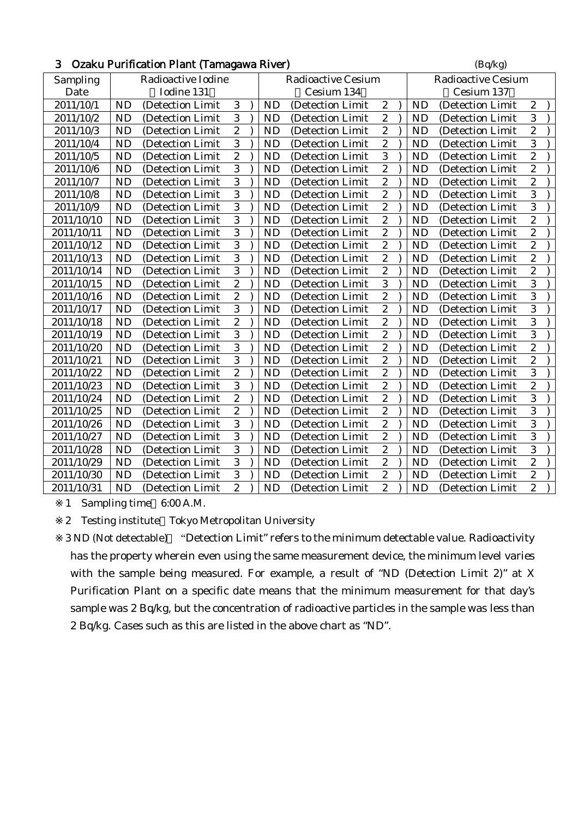| 3<br>Ozaku Purification Plant (Tamagawa River) |                    |                   |                |  |            |                           |                  |                           | (Bq/kg)    |                  |                  |  |  |
|------------------------------------------------|--------------------|-------------------|----------------|--|------------|---------------------------|------------------|---------------------------|------------|------------------|------------------|--|--|
| Sampling                                       | Radioactive Iodine |                   |                |  |            | <b>Radioactive Cesium</b> |                  | <b>Radioactive Cesium</b> |            |                  |                  |  |  |
| Date                                           |                    | Iodine 131        |                |  | Cesium 134 |                           |                  |                           | Cesium 137 |                  |                  |  |  |
| 2011/10/1                                      | <b>ND</b>          | (Detection Limit  | 3              |  | <b>ND</b>  | (Detection Limit          | $\boldsymbol{2}$ |                           | <b>ND</b>  | (Detection Limit | $\overline{c}$   |  |  |
| 2011/10/2                                      | <b>ND</b>          | (Detection Limit  | 3              |  | <b>ND</b>  | (Detection Limit          | $\boldsymbol{2}$ |                           | <b>ND</b>  | (Detection Limit | 3                |  |  |
| 2011/10/3                                      | <b>ND</b>          | (Detection Limit  | $\overline{2}$ |  | <b>ND</b>  | (Detection Limit          | $\overline{2}$   |                           | <b>ND</b>  | (Detection Limit | $\overline{c}$   |  |  |
| 2011/10/4                                      | <b>ND</b>          | (Detection Limit  | 3              |  | <b>ND</b>  | (Detection Limit          | $\boldsymbol{2}$ |                           | <b>ND</b>  | (Detection Limit | 3                |  |  |
| 2011/10/5                                      | <b>ND</b>          | (Detection Limit  | $\overline{2}$ |  | <b>ND</b>  | (Detection Limit          | 3                |                           | <b>ND</b>  | (Detection Limit | $\overline{c}$   |  |  |
| 2011/10/6                                      | <b>ND</b>          | (Detection Limit) | $\overline{3}$ |  | <b>ND</b>  | (Detection Limit)         | $\boldsymbol{2}$ |                           | <b>ND</b>  | (Detection Limit | $\overline{c}$   |  |  |
| 2011/10/7                                      | <b>ND</b>          | (Detection Limit  | $\overline{3}$ |  | <b>ND</b>  | (Detection Limit          | $\overline{c}$   |                           | <b>ND</b>  | (Detection Limit | $\overline{c}$   |  |  |
| 2011/10/8                                      | <b>ND</b>          | (Detection Limit  | $\overline{3}$ |  | <b>ND</b>  | (Detection Limit          | $\boldsymbol{2}$ |                           | <b>ND</b>  | (Detection Limit | $\overline{3}$   |  |  |
| 2011/10/9                                      | <b>ND</b>          | (Detection Limit  | $\overline{3}$ |  | <b>ND</b>  | (Detection Limit          | $\boldsymbol{2}$ |                           | <b>ND</b>  | (Detection Limit | 3                |  |  |
| 2011/10/10                                     | <b>ND</b>          | (Detection Limit  | $\overline{3}$ |  | <b>ND</b>  | (Detection Limit          | $\boldsymbol{2}$ |                           | <b>ND</b>  | (Detection Limit | $\overline{c}$   |  |  |
| 2011/10/11                                     | <b>ND</b>          | (Detection Limit  | $\overline{3}$ |  | <b>ND</b>  | (Detection Limit          | $\boldsymbol{2}$ |                           | <b>ND</b>  | (Detection Limit | $\overline{c}$   |  |  |
| 2011/10/12                                     | <b>ND</b>          | (Detection Limit  | $\overline{3}$ |  | <b>ND</b>  | (Detection Limit          | $\overline{2}$   |                           | <b>ND</b>  | (Detection Limit | $\overline{c}$   |  |  |
| 2011/10/13                                     | <b>ND</b>          | (Detection Limit) | $\overline{3}$ |  | <b>ND</b>  | (Detection Limit)         | $\boldsymbol{2}$ |                           | <b>ND</b>  | (Detection Limit | $\overline{c}$   |  |  |
| 2011/10/14                                     | <b>ND</b>          | (Detection Limit) | $\overline{3}$ |  | <b>ND</b>  | (Detection Limit)         | $\sqrt{2}$       |                           | <b>ND</b>  | (Detection Limit | $\boldsymbol{2}$ |  |  |
| 2011/10/15                                     | <b>ND</b>          | (Detection Limit  | $\overline{2}$ |  | <b>ND</b>  | (Detection Limit          | 3                |                           | <b>ND</b>  | (Detection Limit | 3                |  |  |
| 2011/10/16                                     | <b>ND</b>          | (Detection Limit  | $\overline{2}$ |  | <b>ND</b>  | (Detection Limit          | $\overline{c}$   |                           | <b>ND</b>  | (Detection Limit | 3                |  |  |
| 2011/10/17                                     | <b>ND</b>          | (Detection Limit  | $\overline{3}$ |  | <b>ND</b>  | (Detection Limit          | $\overline{2}$   |                           | <b>ND</b>  | (Detection Limit | 3                |  |  |
| 2011/10/18                                     | <b>ND</b>          | (Detection Limit  | $\overline{2}$ |  | <b>ND</b>  | (Detection Limit          | $\overline{c}$   |                           | <b>ND</b>  | (Detection Limit | $\overline{3}$   |  |  |
| 2011/10/19                                     | <b>ND</b>          | (Detection Limit  | $\overline{3}$ |  | <b>ND</b>  | (Detection Limit          | $\boldsymbol{2}$ |                           | <b>ND</b>  | (Detection Limit | 3                |  |  |
| 2011/10/20                                     | <b>ND</b>          | (Detection Limit  | $\overline{3}$ |  | <b>ND</b>  | (Detection Limit          | $\boldsymbol{2}$ |                           | <b>ND</b>  | (Detection Limit | $\overline{c}$   |  |  |
| 2011/10/21                                     | <b>ND</b>          | (Detection Limit  | $\overline{3}$ |  | <b>ND</b>  | (Detection Limit          | $\boldsymbol{2}$ |                           | <b>ND</b>  | (Detection Limit | $\overline{c}$   |  |  |
| 2011/10/22                                     | <b>ND</b>          | (Detection Limit  | $\overline{2}$ |  | <b>ND</b>  | (Detection Limit          | $\overline{2}$   |                           | <b>ND</b>  | (Detection Limit | 3                |  |  |
| 2011/10/23                                     | <b>ND</b>          | (Detection Limit) | $\overline{3}$ |  | <b>ND</b>  | (Detection Limit)         | $\boldsymbol{2}$ |                           | <b>ND</b>  | (Detection Limit | $\overline{c}$   |  |  |
| 2011/10/24                                     | <b>ND</b>          | (Detection Limit  | $\overline{c}$ |  | <b>ND</b>  | (Detection Limit          | $\overline{c}$   |                           | <b>ND</b>  | (Detection Limit | 3                |  |  |
| 2011/10/25                                     | <b>ND</b>          | (Detection Limit  | $\sqrt{2}$     |  | <b>ND</b>  | (Detection Limit          | $\boldsymbol{2}$ |                           | <b>ND</b>  | (Detection Limit | 3                |  |  |
| 2011/10/26                                     | <b>ND</b>          | (Detection Limit  | $\overline{3}$ |  | <b>ND</b>  | (Detection Limit          | $\boldsymbol{2}$ |                           | <b>ND</b>  | (Detection Limit | 3                |  |  |
| 2011/10/27                                     | <b>ND</b>          | (Detection Limit  | $\overline{3}$ |  | <b>ND</b>  | (Detection Limit          | $\overline{c}$   |                           | <b>ND</b>  | (Detection Limit | 3                |  |  |
| 2011/10/28                                     | <b>ND</b>          | (Detection Limit  | $\overline{3}$ |  | <b>ND</b>  | (Detection Limit          | $\boldsymbol{2}$ |                           | <b>ND</b>  | (Detection Limit | 3                |  |  |
| 2011/10/29                                     | <b>ND</b>          | (Detection Limit  | $\overline{3}$ |  | <b>ND</b>  | (Detection Limit          | $\boldsymbol{2}$ |                           | <b>ND</b>  | (Detection Limit | $\overline{c}$   |  |  |
| 2011/10/30                                     | <b>ND</b>          | (Detection Limit  | $\sqrt{3}$     |  | <b>ND</b>  | (Detection Limit)         | $\boldsymbol{2}$ |                           | <b>ND</b>  | (Detection Limit | $\boldsymbol{2}$ |  |  |
| 2011/10/31                                     | <b>ND</b>          | (Detection Limit  | $\overline{2}$ |  | <b>ND</b>  | (Detection Limit)         | $\boldsymbol{2}$ |                           | <b>ND</b>  | (Detection Limit | $\overline{c}$   |  |  |

2 Testing institute Tokyo Metropolitan University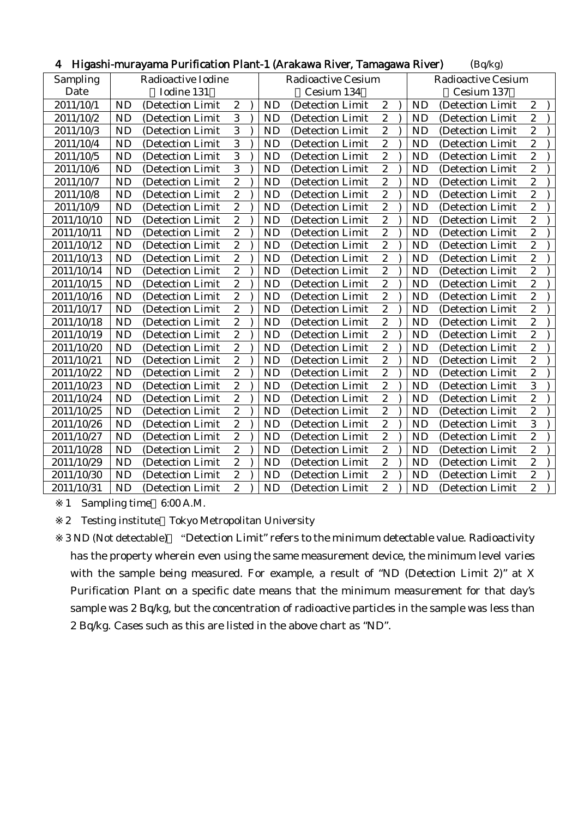| Radioactive Iodine<br>Sampling<br><b>Radioactive Cesium</b><br><b>Radioactive Cesium</b><br>Iodine 131<br>Date<br>Cesium 134<br>Cesium 137<br>$\sqrt{2}$<br>$\sqrt{2}$<br><b>ND</b><br><b>ND</b><br><b>ND</b><br>$\boldsymbol{2}$<br>2011/10/1<br>(Detection Limit<br>(Detection Limit<br>(Detection Limit<br>$\overline{3}$<br>$\overline{c}$<br>$\boldsymbol{2}$<br><b>ND</b><br>2011/10/2<br><b>ND</b><br><b>ND</b><br>(Detection Limit<br>(Detection Limit<br>(Detection Limit<br>3<br>$\overline{c}$<br>$\boldsymbol{2}$<br><b>ND</b><br>2011/10/3<br><b>ND</b><br>(Detection Limit)<br>(Detection Limit)<br><b>ND</b><br>(Detection Limit<br>$\overline{3}$<br>$\overline{2}$<br>$\overline{c}$<br>ND<br><b>ND</b><br><b>ND</b><br>2011/10/4<br>(Detection Limit<br>(Detection Limit<br>(Detection Limit<br>3<br>$\boldsymbol{2}$<br>$\overline{c}$<br><b>ND</b><br><b>ND</b><br><b>ND</b><br>2011/10/5<br>(Detection Limit)<br>(Detection Limit)<br>(Detection Limit<br>3<br>$\overline{\mathbf{c}}$<br>$\overline{c}$<br><b>ND</b><br><b>ND</b><br>2011/10/6<br><b>ND</b><br>(Detection Limit<br>(Detection Limit<br>(Detection Limit<br>$\overline{2}$<br>$\overline{c}$<br>$\mathbf{2}$<br><b>ND</b><br>2011/10/7<br><b>ND</b><br><b>ND</b><br>(Detection Limit<br>(Detection Limit<br>(Detection Limit<br>$\boldsymbol{2}$<br>$\sqrt{2}$<br>$\boldsymbol{2}$<br><b>ND</b><br><b>ND</b><br><b>ND</b><br>2011/10/8<br>(Detection Limit<br>(Detection Limit<br>(Detection Limit<br>$\overline{2}$<br>$\boldsymbol{2}$<br>$\overline{c}$<br><b>ND</b><br>2011/10/9<br><b>ND</b><br><b>ND</b><br>(Detection Limit<br>(Detection Limit<br>(Detection Limit<br>$\overline{2}$<br>$\overline{2}$<br>$\overline{c}$<br><b>ND</b><br>2011/10/10<br><b>ND</b><br><b>ND</b><br>(Detection Limit<br>(Detection Limit<br>(Detection Limit<br>$\overline{2}$<br>$\overline{2}$<br>$\boldsymbol{2}$<br>ND<br>2011/10/11<br><b>ND</b><br><b>ND</b><br>(Detection Limit<br>(Detection Limit)<br>(Detection Limit<br>$\boldsymbol{2}$<br>$\mathbf{2}$<br>$\overline{c}$<br><b>ND</b><br>2011/10/12<br><b>ND</b><br><b>ND</b><br>(Detection Limit<br>(Detection Limit<br>(Detection Limit<br>$\sqrt{2}$<br>$\boldsymbol{2}$<br>ND<br>$\boldsymbol{2}$<br>2011/10/13<br><b>ND</b><br><b>ND</b><br>(Detection Limit<br>(Detection Limit<br>(Detection Limit<br>$\overline{2}$<br>$\overline{2}$<br>$\overline{c}$<br><b>ND</b><br><b>ND</b><br><b>ND</b><br>2011/10/14<br>(Detection Limit<br>(Detection Limit<br>(Detection Limit<br>$\overline{2}$<br>$\overline{c}$<br>$\boldsymbol{2}$<br>2011/10/15<br><b>ND</b><br><b>ND</b><br><b>ND</b><br>(Detection Limit<br>(Detection Limit<br>(Detection Limit)<br>$\overline{2}$<br>$\overline{2}$<br>$\boldsymbol{2}$<br><b>ND</b><br>2011/10/16<br><b>ND</b><br><b>ND</b><br>(Detection Limit)<br>(Detection Limit)<br>(Detection Limit)<br>$\boldsymbol{2}$<br>$\mathbf{2}$<br>$\overline{c}$<br><b>ND</b><br><b>ND</b><br><b>ND</b><br>2011/10/17<br>(Detection Limit<br>(Detection Limit<br>(Detection Limit<br>$\sqrt{2}$<br>$\boldsymbol{2}$<br>$\overline{c}$<br>ND<br><b>ND</b><br>2011/10/18<br><b>ND</b><br>(Detection Limit<br>(Detection Limit<br>(Detection Limit<br>$\overline{2}$<br>$\overline{c}$<br>$\overline{c}$<br><b>ND</b><br><b>ND</b><br><b>ND</b><br>2011/10/19<br>(Detection Limit<br>(Detection Limit<br>(Detection Limit<br>$\overline{2}$<br>$\overline{2}$<br>$\overline{2}$<br><b>ND</b><br><b>ND</b><br>2011/10/20<br><b>ND</b><br>(Detection Limit<br>(Detection Limit<br>(Detection Limit<br>$\boldsymbol{2}$<br>$\overline{c}$<br>$\boldsymbol{2}$<br><b>ND</b><br><b>ND</b><br><b>ND</b><br>2011/10/21<br>(Detection Limit)<br>(Detection Limit<br>(Detection Limit<br>$\boldsymbol{2}$<br>$\boldsymbol{2}$<br>$\overline{c}$<br><b>ND</b><br>2011/10/22<br><b>ND</b><br>(Detection Limit<br><b>ND</b><br>(Detection Limit<br>(Detection Limit<br>$\overline{2}$<br>3<br>$\boldsymbol{2}$<br>ND<br><b>ND</b><br><b>ND</b><br>2011/10/23<br>(Detection Limit<br>(Detection Limit<br>(Detection Limit<br>$\overline{c}$<br>$\overline{c}$<br>$\overline{c}$<br><b>ND</b><br>2011/10/24<br><b>ND</b><br><b>ND</b><br>(Detection Limit)<br>(Detection Limit)<br>(Detection Limit<br>$\overline{2}$<br>$\overline{c}$<br>$\boldsymbol{2}$<br>ND<br>2011/10/25<br><b>ND</b><br><b>ND</b><br>(Detection Limit<br>(Detection Limit<br>(Detection Limit<br>$\overline{2}$<br>3<br>$\mathbf{2}$<br><b>ND</b><br>2011/10/26<br><b>ND</b><br><b>ND</b><br>(Detection Limit<br>(Detection Limit)<br>(Detection Limit<br>$\boldsymbol{2}$<br><b>ND</b><br>$\boldsymbol{2}$<br>$\boldsymbol{2}$<br><b>ND</b><br><b>ND</b><br>2011/10/27<br>(Detection Limit<br>(Detection Limit<br>(Detection Limit<br>$\overline{2}$<br>$\boldsymbol{2}$<br>$\overline{c}$<br><b>ND</b><br><b>ND</b><br><b>ND</b><br>2011/10/28<br>(Detection Limit<br>(Detection Limit<br>(Detection Limit<br>$\overline{2}$<br>$\boldsymbol{2}$<br>$\overline{c}$<br>2011/10/29<br><b>ND</b><br><b>ND</b><br><b>ND</b><br>(Detection Limit<br>(Detection Limit<br>(Detection Limit)<br>$\overline{2}$<br>$\overline{c}$<br>$\boldsymbol{2}$<br><b>ND</b><br>2011/10/30<br><b>ND</b><br><b>ND</b><br>(Detection Limit<br>(Detection Limit<br>(Detection Limit<br>$\sqrt{2}$<br>$\boldsymbol{2}$<br>$\boldsymbol{2}$<br>ND<br>2011/10/31<br><b>ND</b><br><b>ND</b><br>(Detection Limit<br>(Detection Limit)<br>(Detection Limit) | Tiigasiii-iilul ayallia Ful Ilitatibii Fialit-T (Alawawa Nivel, Talilagawa Nivel)<br>(Dq/kg) |  |  |  |  |  |  |  |  |  |  |  |  |  |
|-------------------------------------------------------------------------------------------------------------------------------------------------------------------------------------------------------------------------------------------------------------------------------------------------------------------------------------------------------------------------------------------------------------------------------------------------------------------------------------------------------------------------------------------------------------------------------------------------------------------------------------------------------------------------------------------------------------------------------------------------------------------------------------------------------------------------------------------------------------------------------------------------------------------------------------------------------------------------------------------------------------------------------------------------------------------------------------------------------------------------------------------------------------------------------------------------------------------------------------------------------------------------------------------------------------------------------------------------------------------------------------------------------------------------------------------------------------------------------------------------------------------------------------------------------------------------------------------------------------------------------------------------------------------------------------------------------------------------------------------------------------------------------------------------------------------------------------------------------------------------------------------------------------------------------------------------------------------------------------------------------------------------------------------------------------------------------------------------------------------------------------------------------------------------------------------------------------------------------------------------------------------------------------------------------------------------------------------------------------------------------------------------------------------------------------------------------------------------------------------------------------------------------------------------------------------------------------------------------------------------------------------------------------------------------------------------------------------------------------------------------------------------------------------------------------------------------------------------------------------------------------------------------------------------------------------------------------------------------------------------------------------------------------------------------------------------------------------------------------------------------------------------------------------------------------------------------------------------------------------------------------------------------------------------------------------------------------------------------------------------------------------------------------------------------------------------------------------------------------------------------------------------------------------------------------------------------------------------------------------------------------------------------------------------------------------------------------------------------------------------------------------------------------------------------------------------------------------------------------------------------------------------------------------------------------------------------------------------------------------------------------------------------------------------------------------------------------------------------------------------------------------------------------------------------------------------------------------------------------------------------------------------------------------------------------------------------------------------------------------------------------------------------------------------------------------------------------------------------------------------------------------------------------------------------------------------------------------------------------------------------------------------------------------------------------------------------------------------------------------------------------------------------------------------------------------------------------------------------------------------------------------------------------------------------------------------------------------------------------------------------------------------------------------------------------------------------------------------------------------------------------------------------------------------------------------------------------------------------------------------------------------------------------------------------------------------------------------------------------------------------------------------------------------------------------------------------------|----------------------------------------------------------------------------------------------|--|--|--|--|--|--|--|--|--|--|--|--|--|
|                                                                                                                                                                                                                                                                                                                                                                                                                                                                                                                                                                                                                                                                                                                                                                                                                                                                                                                                                                                                                                                                                                                                                                                                                                                                                                                                                                                                                                                                                                                                                                                                                                                                                                                                                                                                                                                                                                                                                                                                                                                                                                                                                                                                                                                                                                                                                                                                                                                                                                                                                                                                                                                                                                                                                                                                                                                                                                                                                                                                                                                                                                                                                                                                                                                                                                                                                                                                                                                                                                                                                                                                                                                                                                                                                                                                                                                                                                                                                                                                                                                                                                                                                                                                                                                                                                                                                                                                                                                                                                                                                                                                                                                                                                                                                                                                                                                                                                                                                                                                                                                                                                                                                                                                                                                                                                                                                                                                                                                             |                                                                                              |  |  |  |  |  |  |  |  |  |  |  |  |  |
|                                                                                                                                                                                                                                                                                                                                                                                                                                                                                                                                                                                                                                                                                                                                                                                                                                                                                                                                                                                                                                                                                                                                                                                                                                                                                                                                                                                                                                                                                                                                                                                                                                                                                                                                                                                                                                                                                                                                                                                                                                                                                                                                                                                                                                                                                                                                                                                                                                                                                                                                                                                                                                                                                                                                                                                                                                                                                                                                                                                                                                                                                                                                                                                                                                                                                                                                                                                                                                                                                                                                                                                                                                                                                                                                                                                                                                                                                                                                                                                                                                                                                                                                                                                                                                                                                                                                                                                                                                                                                                                                                                                                                                                                                                                                                                                                                                                                                                                                                                                                                                                                                                                                                                                                                                                                                                                                                                                                                                                             |                                                                                              |  |  |  |  |  |  |  |  |  |  |  |  |  |
|                                                                                                                                                                                                                                                                                                                                                                                                                                                                                                                                                                                                                                                                                                                                                                                                                                                                                                                                                                                                                                                                                                                                                                                                                                                                                                                                                                                                                                                                                                                                                                                                                                                                                                                                                                                                                                                                                                                                                                                                                                                                                                                                                                                                                                                                                                                                                                                                                                                                                                                                                                                                                                                                                                                                                                                                                                                                                                                                                                                                                                                                                                                                                                                                                                                                                                                                                                                                                                                                                                                                                                                                                                                                                                                                                                                                                                                                                                                                                                                                                                                                                                                                                                                                                                                                                                                                                                                                                                                                                                                                                                                                                                                                                                                                                                                                                                                                                                                                                                                                                                                                                                                                                                                                                                                                                                                                                                                                                                                             |                                                                                              |  |  |  |  |  |  |  |  |  |  |  |  |  |
|                                                                                                                                                                                                                                                                                                                                                                                                                                                                                                                                                                                                                                                                                                                                                                                                                                                                                                                                                                                                                                                                                                                                                                                                                                                                                                                                                                                                                                                                                                                                                                                                                                                                                                                                                                                                                                                                                                                                                                                                                                                                                                                                                                                                                                                                                                                                                                                                                                                                                                                                                                                                                                                                                                                                                                                                                                                                                                                                                                                                                                                                                                                                                                                                                                                                                                                                                                                                                                                                                                                                                                                                                                                                                                                                                                                                                                                                                                                                                                                                                                                                                                                                                                                                                                                                                                                                                                                                                                                                                                                                                                                                                                                                                                                                                                                                                                                                                                                                                                                                                                                                                                                                                                                                                                                                                                                                                                                                                                                             |                                                                                              |  |  |  |  |  |  |  |  |  |  |  |  |  |
|                                                                                                                                                                                                                                                                                                                                                                                                                                                                                                                                                                                                                                                                                                                                                                                                                                                                                                                                                                                                                                                                                                                                                                                                                                                                                                                                                                                                                                                                                                                                                                                                                                                                                                                                                                                                                                                                                                                                                                                                                                                                                                                                                                                                                                                                                                                                                                                                                                                                                                                                                                                                                                                                                                                                                                                                                                                                                                                                                                                                                                                                                                                                                                                                                                                                                                                                                                                                                                                                                                                                                                                                                                                                                                                                                                                                                                                                                                                                                                                                                                                                                                                                                                                                                                                                                                                                                                                                                                                                                                                                                                                                                                                                                                                                                                                                                                                                                                                                                                                                                                                                                                                                                                                                                                                                                                                                                                                                                                                             |                                                                                              |  |  |  |  |  |  |  |  |  |  |  |  |  |
|                                                                                                                                                                                                                                                                                                                                                                                                                                                                                                                                                                                                                                                                                                                                                                                                                                                                                                                                                                                                                                                                                                                                                                                                                                                                                                                                                                                                                                                                                                                                                                                                                                                                                                                                                                                                                                                                                                                                                                                                                                                                                                                                                                                                                                                                                                                                                                                                                                                                                                                                                                                                                                                                                                                                                                                                                                                                                                                                                                                                                                                                                                                                                                                                                                                                                                                                                                                                                                                                                                                                                                                                                                                                                                                                                                                                                                                                                                                                                                                                                                                                                                                                                                                                                                                                                                                                                                                                                                                                                                                                                                                                                                                                                                                                                                                                                                                                                                                                                                                                                                                                                                                                                                                                                                                                                                                                                                                                                                                             |                                                                                              |  |  |  |  |  |  |  |  |  |  |  |  |  |
|                                                                                                                                                                                                                                                                                                                                                                                                                                                                                                                                                                                                                                                                                                                                                                                                                                                                                                                                                                                                                                                                                                                                                                                                                                                                                                                                                                                                                                                                                                                                                                                                                                                                                                                                                                                                                                                                                                                                                                                                                                                                                                                                                                                                                                                                                                                                                                                                                                                                                                                                                                                                                                                                                                                                                                                                                                                                                                                                                                                                                                                                                                                                                                                                                                                                                                                                                                                                                                                                                                                                                                                                                                                                                                                                                                                                                                                                                                                                                                                                                                                                                                                                                                                                                                                                                                                                                                                                                                                                                                                                                                                                                                                                                                                                                                                                                                                                                                                                                                                                                                                                                                                                                                                                                                                                                                                                                                                                                                                             |                                                                                              |  |  |  |  |  |  |  |  |  |  |  |  |  |
|                                                                                                                                                                                                                                                                                                                                                                                                                                                                                                                                                                                                                                                                                                                                                                                                                                                                                                                                                                                                                                                                                                                                                                                                                                                                                                                                                                                                                                                                                                                                                                                                                                                                                                                                                                                                                                                                                                                                                                                                                                                                                                                                                                                                                                                                                                                                                                                                                                                                                                                                                                                                                                                                                                                                                                                                                                                                                                                                                                                                                                                                                                                                                                                                                                                                                                                                                                                                                                                                                                                                                                                                                                                                                                                                                                                                                                                                                                                                                                                                                                                                                                                                                                                                                                                                                                                                                                                                                                                                                                                                                                                                                                                                                                                                                                                                                                                                                                                                                                                                                                                                                                                                                                                                                                                                                                                                                                                                                                                             |                                                                                              |  |  |  |  |  |  |  |  |  |  |  |  |  |
|                                                                                                                                                                                                                                                                                                                                                                                                                                                                                                                                                                                                                                                                                                                                                                                                                                                                                                                                                                                                                                                                                                                                                                                                                                                                                                                                                                                                                                                                                                                                                                                                                                                                                                                                                                                                                                                                                                                                                                                                                                                                                                                                                                                                                                                                                                                                                                                                                                                                                                                                                                                                                                                                                                                                                                                                                                                                                                                                                                                                                                                                                                                                                                                                                                                                                                                                                                                                                                                                                                                                                                                                                                                                                                                                                                                                                                                                                                                                                                                                                                                                                                                                                                                                                                                                                                                                                                                                                                                                                                                                                                                                                                                                                                                                                                                                                                                                                                                                                                                                                                                                                                                                                                                                                                                                                                                                                                                                                                                             |                                                                                              |  |  |  |  |  |  |  |  |  |  |  |  |  |
|                                                                                                                                                                                                                                                                                                                                                                                                                                                                                                                                                                                                                                                                                                                                                                                                                                                                                                                                                                                                                                                                                                                                                                                                                                                                                                                                                                                                                                                                                                                                                                                                                                                                                                                                                                                                                                                                                                                                                                                                                                                                                                                                                                                                                                                                                                                                                                                                                                                                                                                                                                                                                                                                                                                                                                                                                                                                                                                                                                                                                                                                                                                                                                                                                                                                                                                                                                                                                                                                                                                                                                                                                                                                                                                                                                                                                                                                                                                                                                                                                                                                                                                                                                                                                                                                                                                                                                                                                                                                                                                                                                                                                                                                                                                                                                                                                                                                                                                                                                                                                                                                                                                                                                                                                                                                                                                                                                                                                                                             |                                                                                              |  |  |  |  |  |  |  |  |  |  |  |  |  |
|                                                                                                                                                                                                                                                                                                                                                                                                                                                                                                                                                                                                                                                                                                                                                                                                                                                                                                                                                                                                                                                                                                                                                                                                                                                                                                                                                                                                                                                                                                                                                                                                                                                                                                                                                                                                                                                                                                                                                                                                                                                                                                                                                                                                                                                                                                                                                                                                                                                                                                                                                                                                                                                                                                                                                                                                                                                                                                                                                                                                                                                                                                                                                                                                                                                                                                                                                                                                                                                                                                                                                                                                                                                                                                                                                                                                                                                                                                                                                                                                                                                                                                                                                                                                                                                                                                                                                                                                                                                                                                                                                                                                                                                                                                                                                                                                                                                                                                                                                                                                                                                                                                                                                                                                                                                                                                                                                                                                                                                             |                                                                                              |  |  |  |  |  |  |  |  |  |  |  |  |  |
|                                                                                                                                                                                                                                                                                                                                                                                                                                                                                                                                                                                                                                                                                                                                                                                                                                                                                                                                                                                                                                                                                                                                                                                                                                                                                                                                                                                                                                                                                                                                                                                                                                                                                                                                                                                                                                                                                                                                                                                                                                                                                                                                                                                                                                                                                                                                                                                                                                                                                                                                                                                                                                                                                                                                                                                                                                                                                                                                                                                                                                                                                                                                                                                                                                                                                                                                                                                                                                                                                                                                                                                                                                                                                                                                                                                                                                                                                                                                                                                                                                                                                                                                                                                                                                                                                                                                                                                                                                                                                                                                                                                                                                                                                                                                                                                                                                                                                                                                                                                                                                                                                                                                                                                                                                                                                                                                                                                                                                                             |                                                                                              |  |  |  |  |  |  |  |  |  |  |  |  |  |
|                                                                                                                                                                                                                                                                                                                                                                                                                                                                                                                                                                                                                                                                                                                                                                                                                                                                                                                                                                                                                                                                                                                                                                                                                                                                                                                                                                                                                                                                                                                                                                                                                                                                                                                                                                                                                                                                                                                                                                                                                                                                                                                                                                                                                                                                                                                                                                                                                                                                                                                                                                                                                                                                                                                                                                                                                                                                                                                                                                                                                                                                                                                                                                                                                                                                                                                                                                                                                                                                                                                                                                                                                                                                                                                                                                                                                                                                                                                                                                                                                                                                                                                                                                                                                                                                                                                                                                                                                                                                                                                                                                                                                                                                                                                                                                                                                                                                                                                                                                                                                                                                                                                                                                                                                                                                                                                                                                                                                                                             |                                                                                              |  |  |  |  |  |  |  |  |  |  |  |  |  |
|                                                                                                                                                                                                                                                                                                                                                                                                                                                                                                                                                                                                                                                                                                                                                                                                                                                                                                                                                                                                                                                                                                                                                                                                                                                                                                                                                                                                                                                                                                                                                                                                                                                                                                                                                                                                                                                                                                                                                                                                                                                                                                                                                                                                                                                                                                                                                                                                                                                                                                                                                                                                                                                                                                                                                                                                                                                                                                                                                                                                                                                                                                                                                                                                                                                                                                                                                                                                                                                                                                                                                                                                                                                                                                                                                                                                                                                                                                                                                                                                                                                                                                                                                                                                                                                                                                                                                                                                                                                                                                                                                                                                                                                                                                                                                                                                                                                                                                                                                                                                                                                                                                                                                                                                                                                                                                                                                                                                                                                             |                                                                                              |  |  |  |  |  |  |  |  |  |  |  |  |  |
|                                                                                                                                                                                                                                                                                                                                                                                                                                                                                                                                                                                                                                                                                                                                                                                                                                                                                                                                                                                                                                                                                                                                                                                                                                                                                                                                                                                                                                                                                                                                                                                                                                                                                                                                                                                                                                                                                                                                                                                                                                                                                                                                                                                                                                                                                                                                                                                                                                                                                                                                                                                                                                                                                                                                                                                                                                                                                                                                                                                                                                                                                                                                                                                                                                                                                                                                                                                                                                                                                                                                                                                                                                                                                                                                                                                                                                                                                                                                                                                                                                                                                                                                                                                                                                                                                                                                                                                                                                                                                                                                                                                                                                                                                                                                                                                                                                                                                                                                                                                                                                                                                                                                                                                                                                                                                                                                                                                                                                                             |                                                                                              |  |  |  |  |  |  |  |  |  |  |  |  |  |
|                                                                                                                                                                                                                                                                                                                                                                                                                                                                                                                                                                                                                                                                                                                                                                                                                                                                                                                                                                                                                                                                                                                                                                                                                                                                                                                                                                                                                                                                                                                                                                                                                                                                                                                                                                                                                                                                                                                                                                                                                                                                                                                                                                                                                                                                                                                                                                                                                                                                                                                                                                                                                                                                                                                                                                                                                                                                                                                                                                                                                                                                                                                                                                                                                                                                                                                                                                                                                                                                                                                                                                                                                                                                                                                                                                                                                                                                                                                                                                                                                                                                                                                                                                                                                                                                                                                                                                                                                                                                                                                                                                                                                                                                                                                                                                                                                                                                                                                                                                                                                                                                                                                                                                                                                                                                                                                                                                                                                                                             |                                                                                              |  |  |  |  |  |  |  |  |  |  |  |  |  |
|                                                                                                                                                                                                                                                                                                                                                                                                                                                                                                                                                                                                                                                                                                                                                                                                                                                                                                                                                                                                                                                                                                                                                                                                                                                                                                                                                                                                                                                                                                                                                                                                                                                                                                                                                                                                                                                                                                                                                                                                                                                                                                                                                                                                                                                                                                                                                                                                                                                                                                                                                                                                                                                                                                                                                                                                                                                                                                                                                                                                                                                                                                                                                                                                                                                                                                                                                                                                                                                                                                                                                                                                                                                                                                                                                                                                                                                                                                                                                                                                                                                                                                                                                                                                                                                                                                                                                                                                                                                                                                                                                                                                                                                                                                                                                                                                                                                                                                                                                                                                                                                                                                                                                                                                                                                                                                                                                                                                                                                             |                                                                                              |  |  |  |  |  |  |  |  |  |  |  |  |  |
|                                                                                                                                                                                                                                                                                                                                                                                                                                                                                                                                                                                                                                                                                                                                                                                                                                                                                                                                                                                                                                                                                                                                                                                                                                                                                                                                                                                                                                                                                                                                                                                                                                                                                                                                                                                                                                                                                                                                                                                                                                                                                                                                                                                                                                                                                                                                                                                                                                                                                                                                                                                                                                                                                                                                                                                                                                                                                                                                                                                                                                                                                                                                                                                                                                                                                                                                                                                                                                                                                                                                                                                                                                                                                                                                                                                                                                                                                                                                                                                                                                                                                                                                                                                                                                                                                                                                                                                                                                                                                                                                                                                                                                                                                                                                                                                                                                                                                                                                                                                                                                                                                                                                                                                                                                                                                                                                                                                                                                                             |                                                                                              |  |  |  |  |  |  |  |  |  |  |  |  |  |
|                                                                                                                                                                                                                                                                                                                                                                                                                                                                                                                                                                                                                                                                                                                                                                                                                                                                                                                                                                                                                                                                                                                                                                                                                                                                                                                                                                                                                                                                                                                                                                                                                                                                                                                                                                                                                                                                                                                                                                                                                                                                                                                                                                                                                                                                                                                                                                                                                                                                                                                                                                                                                                                                                                                                                                                                                                                                                                                                                                                                                                                                                                                                                                                                                                                                                                                                                                                                                                                                                                                                                                                                                                                                                                                                                                                                                                                                                                                                                                                                                                                                                                                                                                                                                                                                                                                                                                                                                                                                                                                                                                                                                                                                                                                                                                                                                                                                                                                                                                                                                                                                                                                                                                                                                                                                                                                                                                                                                                                             |                                                                                              |  |  |  |  |  |  |  |  |  |  |  |  |  |
|                                                                                                                                                                                                                                                                                                                                                                                                                                                                                                                                                                                                                                                                                                                                                                                                                                                                                                                                                                                                                                                                                                                                                                                                                                                                                                                                                                                                                                                                                                                                                                                                                                                                                                                                                                                                                                                                                                                                                                                                                                                                                                                                                                                                                                                                                                                                                                                                                                                                                                                                                                                                                                                                                                                                                                                                                                                                                                                                                                                                                                                                                                                                                                                                                                                                                                                                                                                                                                                                                                                                                                                                                                                                                                                                                                                                                                                                                                                                                                                                                                                                                                                                                                                                                                                                                                                                                                                                                                                                                                                                                                                                                                                                                                                                                                                                                                                                                                                                                                                                                                                                                                                                                                                                                                                                                                                                                                                                                                                             |                                                                                              |  |  |  |  |  |  |  |  |  |  |  |  |  |
|                                                                                                                                                                                                                                                                                                                                                                                                                                                                                                                                                                                                                                                                                                                                                                                                                                                                                                                                                                                                                                                                                                                                                                                                                                                                                                                                                                                                                                                                                                                                                                                                                                                                                                                                                                                                                                                                                                                                                                                                                                                                                                                                                                                                                                                                                                                                                                                                                                                                                                                                                                                                                                                                                                                                                                                                                                                                                                                                                                                                                                                                                                                                                                                                                                                                                                                                                                                                                                                                                                                                                                                                                                                                                                                                                                                                                                                                                                                                                                                                                                                                                                                                                                                                                                                                                                                                                                                                                                                                                                                                                                                                                                                                                                                                                                                                                                                                                                                                                                                                                                                                                                                                                                                                                                                                                                                                                                                                                                                             |                                                                                              |  |  |  |  |  |  |  |  |  |  |  |  |  |
|                                                                                                                                                                                                                                                                                                                                                                                                                                                                                                                                                                                                                                                                                                                                                                                                                                                                                                                                                                                                                                                                                                                                                                                                                                                                                                                                                                                                                                                                                                                                                                                                                                                                                                                                                                                                                                                                                                                                                                                                                                                                                                                                                                                                                                                                                                                                                                                                                                                                                                                                                                                                                                                                                                                                                                                                                                                                                                                                                                                                                                                                                                                                                                                                                                                                                                                                                                                                                                                                                                                                                                                                                                                                                                                                                                                                                                                                                                                                                                                                                                                                                                                                                                                                                                                                                                                                                                                                                                                                                                                                                                                                                                                                                                                                                                                                                                                                                                                                                                                                                                                                                                                                                                                                                                                                                                                                                                                                                                                             |                                                                                              |  |  |  |  |  |  |  |  |  |  |  |  |  |
|                                                                                                                                                                                                                                                                                                                                                                                                                                                                                                                                                                                                                                                                                                                                                                                                                                                                                                                                                                                                                                                                                                                                                                                                                                                                                                                                                                                                                                                                                                                                                                                                                                                                                                                                                                                                                                                                                                                                                                                                                                                                                                                                                                                                                                                                                                                                                                                                                                                                                                                                                                                                                                                                                                                                                                                                                                                                                                                                                                                                                                                                                                                                                                                                                                                                                                                                                                                                                                                                                                                                                                                                                                                                                                                                                                                                                                                                                                                                                                                                                                                                                                                                                                                                                                                                                                                                                                                                                                                                                                                                                                                                                                                                                                                                                                                                                                                                                                                                                                                                                                                                                                                                                                                                                                                                                                                                                                                                                                                             |                                                                                              |  |  |  |  |  |  |  |  |  |  |  |  |  |
|                                                                                                                                                                                                                                                                                                                                                                                                                                                                                                                                                                                                                                                                                                                                                                                                                                                                                                                                                                                                                                                                                                                                                                                                                                                                                                                                                                                                                                                                                                                                                                                                                                                                                                                                                                                                                                                                                                                                                                                                                                                                                                                                                                                                                                                                                                                                                                                                                                                                                                                                                                                                                                                                                                                                                                                                                                                                                                                                                                                                                                                                                                                                                                                                                                                                                                                                                                                                                                                                                                                                                                                                                                                                                                                                                                                                                                                                                                                                                                                                                                                                                                                                                                                                                                                                                                                                                                                                                                                                                                                                                                                                                                                                                                                                                                                                                                                                                                                                                                                                                                                                                                                                                                                                                                                                                                                                                                                                                                                             |                                                                                              |  |  |  |  |  |  |  |  |  |  |  |  |  |
|                                                                                                                                                                                                                                                                                                                                                                                                                                                                                                                                                                                                                                                                                                                                                                                                                                                                                                                                                                                                                                                                                                                                                                                                                                                                                                                                                                                                                                                                                                                                                                                                                                                                                                                                                                                                                                                                                                                                                                                                                                                                                                                                                                                                                                                                                                                                                                                                                                                                                                                                                                                                                                                                                                                                                                                                                                                                                                                                                                                                                                                                                                                                                                                                                                                                                                                                                                                                                                                                                                                                                                                                                                                                                                                                                                                                                                                                                                                                                                                                                                                                                                                                                                                                                                                                                                                                                                                                                                                                                                                                                                                                                                                                                                                                                                                                                                                                                                                                                                                                                                                                                                                                                                                                                                                                                                                                                                                                                                                             |                                                                                              |  |  |  |  |  |  |  |  |  |  |  |  |  |
|                                                                                                                                                                                                                                                                                                                                                                                                                                                                                                                                                                                                                                                                                                                                                                                                                                                                                                                                                                                                                                                                                                                                                                                                                                                                                                                                                                                                                                                                                                                                                                                                                                                                                                                                                                                                                                                                                                                                                                                                                                                                                                                                                                                                                                                                                                                                                                                                                                                                                                                                                                                                                                                                                                                                                                                                                                                                                                                                                                                                                                                                                                                                                                                                                                                                                                                                                                                                                                                                                                                                                                                                                                                                                                                                                                                                                                                                                                                                                                                                                                                                                                                                                                                                                                                                                                                                                                                                                                                                                                                                                                                                                                                                                                                                                                                                                                                                                                                                                                                                                                                                                                                                                                                                                                                                                                                                                                                                                                                             |                                                                                              |  |  |  |  |  |  |  |  |  |  |  |  |  |
|                                                                                                                                                                                                                                                                                                                                                                                                                                                                                                                                                                                                                                                                                                                                                                                                                                                                                                                                                                                                                                                                                                                                                                                                                                                                                                                                                                                                                                                                                                                                                                                                                                                                                                                                                                                                                                                                                                                                                                                                                                                                                                                                                                                                                                                                                                                                                                                                                                                                                                                                                                                                                                                                                                                                                                                                                                                                                                                                                                                                                                                                                                                                                                                                                                                                                                                                                                                                                                                                                                                                                                                                                                                                                                                                                                                                                                                                                                                                                                                                                                                                                                                                                                                                                                                                                                                                                                                                                                                                                                                                                                                                                                                                                                                                                                                                                                                                                                                                                                                                                                                                                                                                                                                                                                                                                                                                                                                                                                                             |                                                                                              |  |  |  |  |  |  |  |  |  |  |  |  |  |
|                                                                                                                                                                                                                                                                                                                                                                                                                                                                                                                                                                                                                                                                                                                                                                                                                                                                                                                                                                                                                                                                                                                                                                                                                                                                                                                                                                                                                                                                                                                                                                                                                                                                                                                                                                                                                                                                                                                                                                                                                                                                                                                                                                                                                                                                                                                                                                                                                                                                                                                                                                                                                                                                                                                                                                                                                                                                                                                                                                                                                                                                                                                                                                                                                                                                                                                                                                                                                                                                                                                                                                                                                                                                                                                                                                                                                                                                                                                                                                                                                                                                                                                                                                                                                                                                                                                                                                                                                                                                                                                                                                                                                                                                                                                                                                                                                                                                                                                                                                                                                                                                                                                                                                                                                                                                                                                                                                                                                                                             |                                                                                              |  |  |  |  |  |  |  |  |  |  |  |  |  |
|                                                                                                                                                                                                                                                                                                                                                                                                                                                                                                                                                                                                                                                                                                                                                                                                                                                                                                                                                                                                                                                                                                                                                                                                                                                                                                                                                                                                                                                                                                                                                                                                                                                                                                                                                                                                                                                                                                                                                                                                                                                                                                                                                                                                                                                                                                                                                                                                                                                                                                                                                                                                                                                                                                                                                                                                                                                                                                                                                                                                                                                                                                                                                                                                                                                                                                                                                                                                                                                                                                                                                                                                                                                                                                                                                                                                                                                                                                                                                                                                                                                                                                                                                                                                                                                                                                                                                                                                                                                                                                                                                                                                                                                                                                                                                                                                                                                                                                                                                                                                                                                                                                                                                                                                                                                                                                                                                                                                                                                             |                                                                                              |  |  |  |  |  |  |  |  |  |  |  |  |  |
|                                                                                                                                                                                                                                                                                                                                                                                                                                                                                                                                                                                                                                                                                                                                                                                                                                                                                                                                                                                                                                                                                                                                                                                                                                                                                                                                                                                                                                                                                                                                                                                                                                                                                                                                                                                                                                                                                                                                                                                                                                                                                                                                                                                                                                                                                                                                                                                                                                                                                                                                                                                                                                                                                                                                                                                                                                                                                                                                                                                                                                                                                                                                                                                                                                                                                                                                                                                                                                                                                                                                                                                                                                                                                                                                                                                                                                                                                                                                                                                                                                                                                                                                                                                                                                                                                                                                                                                                                                                                                                                                                                                                                                                                                                                                                                                                                                                                                                                                                                                                                                                                                                                                                                                                                                                                                                                                                                                                                                                             |                                                                                              |  |  |  |  |  |  |  |  |  |  |  |  |  |
|                                                                                                                                                                                                                                                                                                                                                                                                                                                                                                                                                                                                                                                                                                                                                                                                                                                                                                                                                                                                                                                                                                                                                                                                                                                                                                                                                                                                                                                                                                                                                                                                                                                                                                                                                                                                                                                                                                                                                                                                                                                                                                                                                                                                                                                                                                                                                                                                                                                                                                                                                                                                                                                                                                                                                                                                                                                                                                                                                                                                                                                                                                                                                                                                                                                                                                                                                                                                                                                                                                                                                                                                                                                                                                                                                                                                                                                                                                                                                                                                                                                                                                                                                                                                                                                                                                                                                                                                                                                                                                                                                                                                                                                                                                                                                                                                                                                                                                                                                                                                                                                                                                                                                                                                                                                                                                                                                                                                                                                             |                                                                                              |  |  |  |  |  |  |  |  |  |  |  |  |  |
|                                                                                                                                                                                                                                                                                                                                                                                                                                                                                                                                                                                                                                                                                                                                                                                                                                                                                                                                                                                                                                                                                                                                                                                                                                                                                                                                                                                                                                                                                                                                                                                                                                                                                                                                                                                                                                                                                                                                                                                                                                                                                                                                                                                                                                                                                                                                                                                                                                                                                                                                                                                                                                                                                                                                                                                                                                                                                                                                                                                                                                                                                                                                                                                                                                                                                                                                                                                                                                                                                                                                                                                                                                                                                                                                                                                                                                                                                                                                                                                                                                                                                                                                                                                                                                                                                                                                                                                                                                                                                                                                                                                                                                                                                                                                                                                                                                                                                                                                                                                                                                                                                                                                                                                                                                                                                                                                                                                                                                                             |                                                                                              |  |  |  |  |  |  |  |  |  |  |  |  |  |
|                                                                                                                                                                                                                                                                                                                                                                                                                                                                                                                                                                                                                                                                                                                                                                                                                                                                                                                                                                                                                                                                                                                                                                                                                                                                                                                                                                                                                                                                                                                                                                                                                                                                                                                                                                                                                                                                                                                                                                                                                                                                                                                                                                                                                                                                                                                                                                                                                                                                                                                                                                                                                                                                                                                                                                                                                                                                                                                                                                                                                                                                                                                                                                                                                                                                                                                                                                                                                                                                                                                                                                                                                                                                                                                                                                                                                                                                                                                                                                                                                                                                                                                                                                                                                                                                                                                                                                                                                                                                                                                                                                                                                                                                                                                                                                                                                                                                                                                                                                                                                                                                                                                                                                                                                                                                                                                                                                                                                                                             |                                                                                              |  |  |  |  |  |  |  |  |  |  |  |  |  |

## 4 Higashi-murayama Purification Plant-1 (Arakawa Riyer, Tamagawa Riyer)  $\left( \frac{B_{\alpha}/k_{\beta}}{2} \right)$

1 Sampling time 6:00 A.M.

2 Testing institute Tokyo Metropolitan University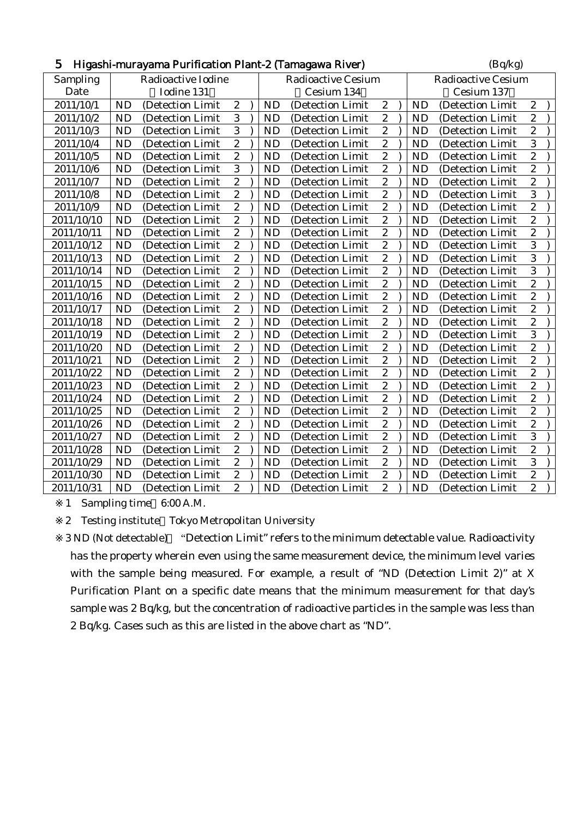| 5          | Higashi-murayama Purification Plant-2 (Tamagawa River) |                   |                  |  |            |                           |                  |                           |            | (Bq/kg)          |                  |  |  |  |
|------------|--------------------------------------------------------|-------------------|------------------|--|------------|---------------------------|------------------|---------------------------|------------|------------------|------------------|--|--|--|
| Sampling   | Radioactive Iodine                                     |                   |                  |  |            | <b>Radioactive Cesium</b> |                  | <b>Radioactive Cesium</b> |            |                  |                  |  |  |  |
| Date       |                                                        | Iodine 131        |                  |  | Cesium 134 |                           |                  |                           | Cesium 137 |                  |                  |  |  |  |
| 2011/10/1  | <b>ND</b>                                              | (Detection Limit) | $\boldsymbol{2}$ |  | <b>ND</b>  | (Detection Limit)         | $\boldsymbol{2}$ |                           | <b>ND</b>  | (Detection Limit | $\boldsymbol{2}$ |  |  |  |
| 2011/10/2  | <b>ND</b>                                              | (Detection Limit  | 3                |  | <b>ND</b>  | (Detection Limit)         | $\boldsymbol{2}$ |                           | <b>ND</b>  | (Detection Limit | $\overline{c}$   |  |  |  |
| 2011/10/3  | <b>ND</b>                                              | (Detection Limit) | $\overline{3}$   |  | <b>ND</b>  | (Detection Limit)         | $\overline{c}$   |                           | <b>ND</b>  | (Detection Limit | $\overline{c}$   |  |  |  |
| 2011/10/4  | <b>ND</b>                                              | (Detection Limit  | $\boldsymbol{2}$ |  | <b>ND</b>  | (Detection Limit          | $\boldsymbol{2}$ |                           | <b>ND</b>  | (Detection Limit | 3                |  |  |  |
| 2011/10/5  | <b>ND</b>                                              | (Detection Limit  | $\overline{2}$   |  | <b>ND</b>  | (Detection Limit          | $\boldsymbol{2}$ |                           | <b>ND</b>  | (Detection Limit | $\overline{c}$   |  |  |  |
| 2011/10/6  | <b>ND</b>                                              | (Detection Limit  | $\overline{3}$   |  | <b>ND</b>  | (Detection Limit          | $\overline{c}$   |                           | <b>ND</b>  | (Detection Limit | $\overline{c}$   |  |  |  |
| 2011/10/7  | <b>ND</b>                                              | (Detection Limit  | $\overline{2}$   |  | <b>ND</b>  | (Detection Limit          | $\overline{2}$   |                           | <b>ND</b>  | (Detection Limit | $\overline{c}$   |  |  |  |
| 2011/10/8  | <b>ND</b>                                              | (Detection Limit  | $\overline{2}$   |  | <b>ND</b>  | (Detection Limit          | $\overline{2}$   |                           | <b>ND</b>  | (Detection Limit | $\overline{3}$   |  |  |  |
| 2011/10/9  | <b>ND</b>                                              | (Detection Limit  | $\overline{2}$   |  | <b>ND</b>  | (Detection Limit          | $\boldsymbol{2}$ |                           | <b>ND</b>  | (Detection Limit | $\overline{c}$   |  |  |  |
| 2011/10/10 | <b>ND</b>                                              | (Detection Limit  | $\boldsymbol{2}$ |  | <b>ND</b>  | (Detection Limit          | $\boldsymbol{2}$ |                           | <b>ND</b>  | (Detection Limit | $\boldsymbol{2}$ |  |  |  |
| 2011/10/11 | <b>ND</b>                                              | (Detection Limit  | $\overline{2}$   |  | <b>ND</b>  | (Detection Limit          | $\boldsymbol{2}$ |                           | <b>ND</b>  | (Detection Limit | $\overline{c}$   |  |  |  |
| 2011/10/12 | <b>ND</b>                                              | (Detection Limit  | $\overline{2}$   |  | <b>ND</b>  | (Detection Limit)         | $\boldsymbol{2}$ |                           | <b>ND</b>  | (Detection Limit | 3                |  |  |  |
| 2011/10/13 | <b>ND</b>                                              | (Detection Limit  | $\overline{c}$   |  | <b>ND</b>  | (Detection Limit)         | $\overline{c}$   |                           | <b>ND</b>  | (Detection Limit | 3                |  |  |  |
| 2011/10/14 | <b>ND</b>                                              | (Detection Limit) | $\boldsymbol{2}$ |  | <b>ND</b>  | (Detection Limit)         | $\boldsymbol{2}$ |                           | <b>ND</b>  | (Detection Limit | 3                |  |  |  |
| 2011/10/15 | <b>ND</b>                                              | (Detection Limit  | $\boldsymbol{2}$ |  | <b>ND</b>  | (Detection Limit          | $\sqrt{2}$       |                           | <b>ND</b>  | (Detection Limit | $\overline{c}$   |  |  |  |
| 2011/10/16 | <b>ND</b>                                              | (Detection Limit  | $\overline{2}$   |  | <b>ND</b>  | (Detection Limit          | $\boldsymbol{2}$ |                           | <b>ND</b>  | (Detection Limit | $\overline{c}$   |  |  |  |
| 2011/10/17 | <b>ND</b>                                              | (Detection Limit) | $\overline{2}$   |  | <b>ND</b>  | (Detection Limit          | $\overline{c}$   |                           | <b>ND</b>  | (Detection Limit | $\overline{c}$   |  |  |  |
| 2011/10/18 | <b>ND</b>                                              | (Detection Limit  | $\overline{c}$   |  | <b>ND</b>  | (Detection Limit          | $\overline{c}$   |                           | <b>ND</b>  | (Detection Limit | $\overline{c}$   |  |  |  |
| 2011/10/19 | <b>ND</b>                                              | (Detection Limit  | $\overline{2}$   |  | <b>ND</b>  | (Detection Limit          | $\overline{2}$   |                           | <b>ND</b>  | (Detection Limit | $\overline{3}$   |  |  |  |
| 2011/10/20 | <b>ND</b>                                              | (Detection Limit  | $\overline{2}$   |  | <b>ND</b>  | (Detection Limit          | $\boldsymbol{2}$ |                           | <b>ND</b>  | (Detection Limit | $\overline{c}$   |  |  |  |
| 2011/10/21 | <b>ND</b>                                              | (Detection Limit) | $\boldsymbol{2}$ |  | <b>ND</b>  | (Detection Limit)         | $\boldsymbol{2}$ |                           | <b>ND</b>  | (Detection Limit | $\boldsymbol{2}$ |  |  |  |
| 2011/10/22 | <b>ND</b>                                              | (Detection Limit  | $\overline{2}$   |  | <b>ND</b>  | (Detection Limit          | $\boldsymbol{2}$ |                           | <b>ND</b>  | (Detection Limit | $\overline{c}$   |  |  |  |
| 2011/10/23 | <b>ND</b>                                              | (Detection Limit  | $\overline{2}$   |  | <b>ND</b>  | (Detection Limit)         | $\boldsymbol{2}$ |                           | <b>ND</b>  | (Detection Limit | $\overline{c}$   |  |  |  |
| 2011/10/24 | <b>ND</b>                                              | (Detection Limit  | $\overline{c}$   |  | <b>ND</b>  | (Detection Limit)         | $\sqrt{2}$       |                           | <b>ND</b>  | (Detection Limit | $\overline{c}$   |  |  |  |
| 2011/10/25 | <b>ND</b>                                              | (Detection Limit) | $\boldsymbol{2}$ |  | <b>ND</b>  | (Detection Limit)         | $\boldsymbol{2}$ |                           | <b>ND</b>  | (Detection Limit | $\overline{c}$   |  |  |  |
| 2011/10/26 | <b>ND</b>                                              | (Detection Limit  | $\boldsymbol{2}$ |  | <b>ND</b>  | (Detection Limit          | $\boldsymbol{2}$ |                           | <b>ND</b>  | (Detection Limit | $\overline{c}$   |  |  |  |
| 2011/10/27 | <b>ND</b>                                              | (Detection Limit  | $\overline{c}$   |  | <b>ND</b>  | (Detection Limit          | $\overline{c}$   |                           | <b>ND</b>  | (Detection Limit | 3                |  |  |  |
| 2011/10/28 | <b>ND</b>                                              | (Detection Limit) | $\overline{2}$   |  | <b>ND</b>  | (Detection Limit          | $\overline{2}$   |                           | <b>ND</b>  | (Detection Limit | $\overline{c}$   |  |  |  |
| 2011/10/29 | <b>ND</b>                                              | (Detection Limit  | $\overline{2}$   |  | <b>ND</b>  | (Detection Limit          | $\overline{2}$   |                           | <b>ND</b>  | (Detection Limit | 3                |  |  |  |
| 2011/10/30 | <b>ND</b>                                              | (Detection Limit  | $\overline{c}$   |  | <b>ND</b>  | (Detection Limit          | $\boldsymbol{2}$ |                           | <b>ND</b>  | (Detection Limit | $\overline{c}$   |  |  |  |
| 2011/10/31 | <b>ND</b>                                              | (Detection Limit  | $\overline{c}$   |  | <b>ND</b>  | (Detection Limit          | $\overline{c}$   |                           | <b>ND</b>  | (Detection Limit | $\overline{2}$   |  |  |  |

2 Testing institute Tokyo Metropolitan University